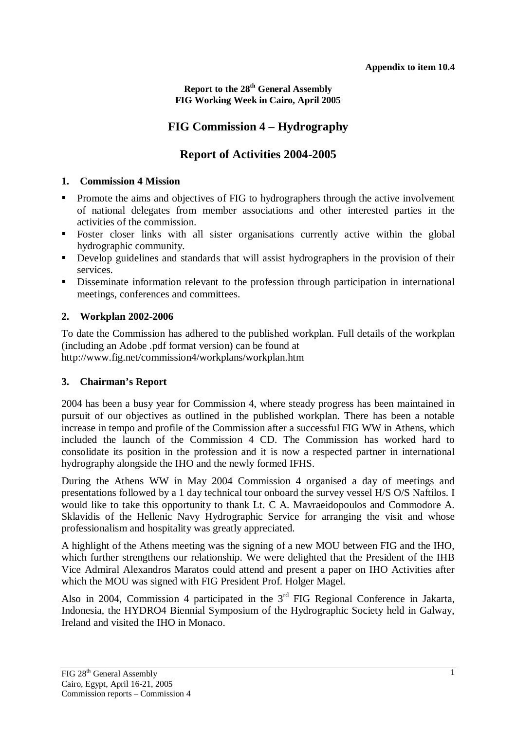**Report to the 28th General Assembly FIG Working Week in Cairo, April 2005** 

# **FIG Commission 4 – Hydrography**

# **Report of Activities 2004-2005**

### **1. Commission 4 Mission**

- Promote the aims and objectives of FIG to hydrographers through the active involvement of national delegates from member associations and other interested parties in the activities of the commission.
- **Foster closer links with all sister organisations currently active within the global** hydrographic community.
- Develop guidelines and standards that will assist hydrographers in the provision of their services.
- Disseminate information relevant to the profession through participation in international meetings, conferences and committees.

# **2. Workplan 2002-2006**

To date the Commission has adhered to the published workplan. Full details of the workplan (including an Adobe .pdf format version) can be found at http://www.fig.net/commission4/workplans/workplan.htm

# **3. Chairman's Report**

2004 has been a busy year for Commission 4, where steady progress has been maintained in pursuit of our objectives as outlined in the published workplan. There has been a notable increase in tempo and profile of the Commission after a successful FIG WW in Athens, which included the launch of the Commission 4 CD. The Commission has worked hard to consolidate its position in the profession and it is now a respected partner in international hydrography alongside the IHO and the newly formed IFHS.

During the Athens WW in May 2004 Commission 4 organised a day of meetings and presentations followed by a 1 day technical tour onboard the survey vessel H/S O/S Naftilos. I would like to take this opportunity to thank Lt. C A. Mavraeidopoulos and Commodore A. Sklavidis of the Hellenic Navy Hydrographic Service for arranging the visit and whose professionalism and hospitality was greatly appreciated.

A highlight of the Athens meeting was the signing of a new MOU between FIG and the IHO, which further strengthens our relationship. We were delighted that the President of the IHB Vice Admiral Alexandros Maratos could attend and present a paper on IHO Activities after which the MOU was signed with FIG President Prof. Holger Magel.

Also in 2004, Commission 4 participated in the  $3<sup>rd</sup>$  FIG Regional Conference in Jakarta, Indonesia, the HYDRO4 Biennial Symposium of the Hydrographic Society held in Galway, Ireland and visited the IHO in Monaco.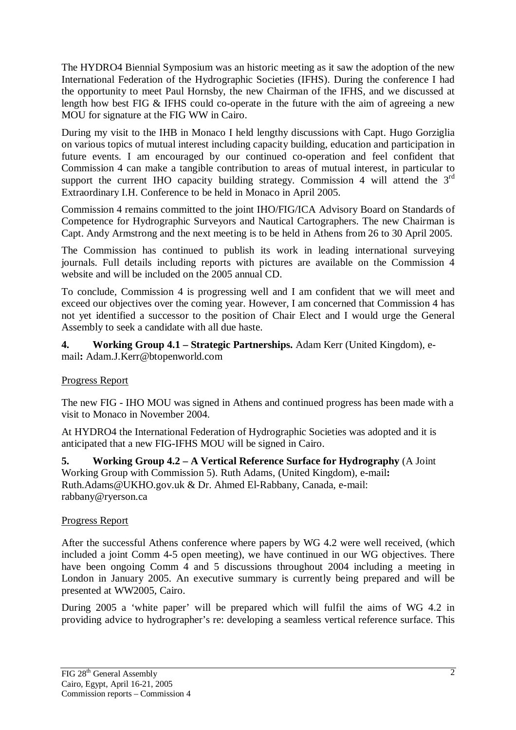The HYDRO4 Biennial Symposium was an historic meeting as it saw the adoption of the new International Federation of the Hydrographic Societies (IFHS). During the conference I had the opportunity to meet Paul Hornsby, the new Chairman of the IFHS, and we discussed at length how best FIG & IFHS could co-operate in the future with the aim of agreeing a new MOU for signature at the FIG WW in Cairo.

During my visit to the IHB in Monaco I held lengthy discussions with Capt. Hugo Gorziglia on various topics of mutual interest including capacity building, education and participation in future events. I am encouraged by our continued co-operation and feel confident that Commission 4 can make a tangible contribution to areas of mutual interest, in particular to support the current IHO capacity building strategy. Commission 4 will attend the  $3<sup>rd</sup>$ Extraordinary I.H. Conference to be held in Monaco in April 2005.

Commission 4 remains committed to the joint IHO/FIG/ICA Advisory Board on Standards of Competence for Hydrographic Surveyors and Nautical Cartographers. The new Chairman is Capt. Andy Armstrong and the next meeting is to be held in Athens from 26 to 30 April 2005.

The Commission has continued to publish its work in leading international surveying journals. Full details including reports with pictures are available on the Commission 4 website and will be included on the 2005 annual CD.

To conclude, Commission 4 is progressing well and I am confident that we will meet and exceed our objectives over the coming year. However, I am concerned that Commission 4 has not yet identified a successor to the position of Chair Elect and I would urge the General Assembly to seek a candidate with all due haste.

**4. Working Group 4.1 – Strategic Partnerships.** Adam Kerr (United Kingdom), email**:** Adam.J.Kerr@btopenworld.com

### Progress Report

The new FIG - IHO MOU was signed in Athens and continued progress has been made with a visit to Monaco in November 2004.

At HYDRO4 the International Federation of Hydrographic Societies was adopted and it is anticipated that a new FIG-IFHS MOU will be signed in Cairo.

**5. Working Group 4.2 – A Vertical Reference Surface for Hydrography** (A Joint Working Group with Commission 5). Ruth Adams, (United Kingdom), e-mail**:**  Ruth.Adams@UKHO.gov.uk & Dr. Ahmed El-Rabbany, Canada, e-mail: rabbany@ryerson.ca

### Progress Report

After the successful Athens conference where papers by WG 4.2 were well received, (which included a joint Comm 4-5 open meeting), we have continued in our WG objectives. There have been ongoing Comm 4 and 5 discussions throughout 2004 including a meeting in London in January 2005. An executive summary is currently being prepared and will be presented at WW2005, Cairo.

During 2005 a 'white paper' will be prepared which will fulfil the aims of WG 4.2 in providing advice to hydrographer's re: developing a seamless vertical reference surface. This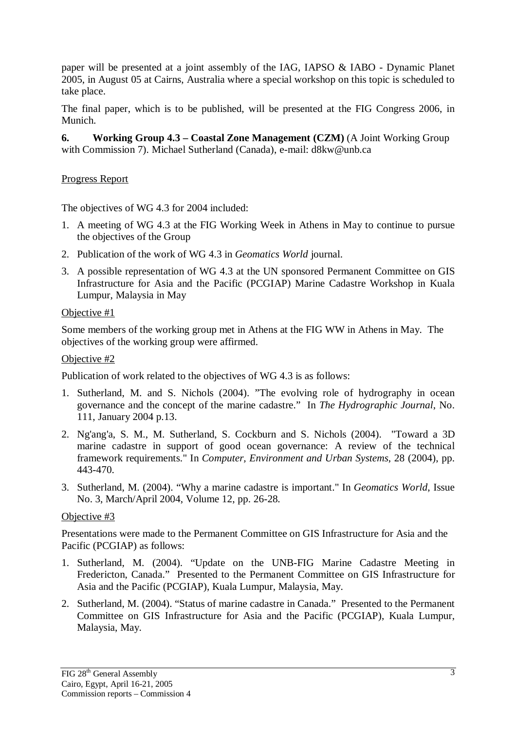paper will be presented at a joint assembly of the IAG, IAPSO & IABO - Dynamic Planet 2005, in August 05 at Cairns, Australia where a special workshop on this topic is scheduled to take place.

The final paper, which is to be published, will be presented at the FIG Congress 2006, in Munich.

**6. Working Group 4.3 – Coastal Zone Management (CZM)** (A Joint Working Group with Commission 7). Michael Sutherland (Canada), e-mail: d8kw@unb.ca

## Progress Report

The objectives of WG 4.3 for 2004 included:

- 1. A meeting of WG 4.3 at the FIG Working Week in Athens in May to continue to pursue the objectives of the Group
- 2. Publication of the work of WG 4.3 in *Geomatics World* journal.
- 3. A possible representation of WG 4.3 at the UN sponsored Permanent Committee on GIS Infrastructure for Asia and the Pacific (PCGIAP) Marine Cadastre Workshop in Kuala Lumpur, Malaysia in May

### Objective #1

Some members of the working group met in Athens at the FIG WW in Athens in May. The objectives of the working group were affirmed.

## Objective #2

Publication of work related to the objectives of WG 4.3 is as follows:

- 1. Sutherland, M. and S. Nichols (2004). "The evolving role of hydrography in ocean governance and the concept of the marine cadastre." In *The Hydrographic Journal*, No. 111, January 2004 p.13.
- 2. Ng'ang'a, S. M., M. Sutherland, S. Cockburn and S. Nichols (2004). "Toward a 3D marine cadastre in support of good ocean governance: A review of the technical framework requirements." In *Computer, Environment and Urban Systems*, 28 (2004), pp. 443-470.
- 3. Sutherland, M. (2004). "Why a marine cadastre is important." In *Geomatics World*, Issue No. 3, March/April 2004, Volume 12, pp. 26-28.

# Objective #3

Presentations were made to the Permanent Committee on GIS Infrastructure for Asia and the Pacific (PCGIAP) as follows:

- 1. Sutherland, M. (2004). "Update on the UNB-FIG Marine Cadastre Meeting in Fredericton, Canada." Presented to the Permanent Committee on GIS Infrastructure for Asia and the Pacific (PCGIAP), Kuala Lumpur, Malaysia, May.
- 2. Sutherland, M. (2004). "Status of marine cadastre in Canada." Presented to the Permanent Committee on GIS Infrastructure for Asia and the Pacific (PCGIAP), Kuala Lumpur, Malaysia, May.